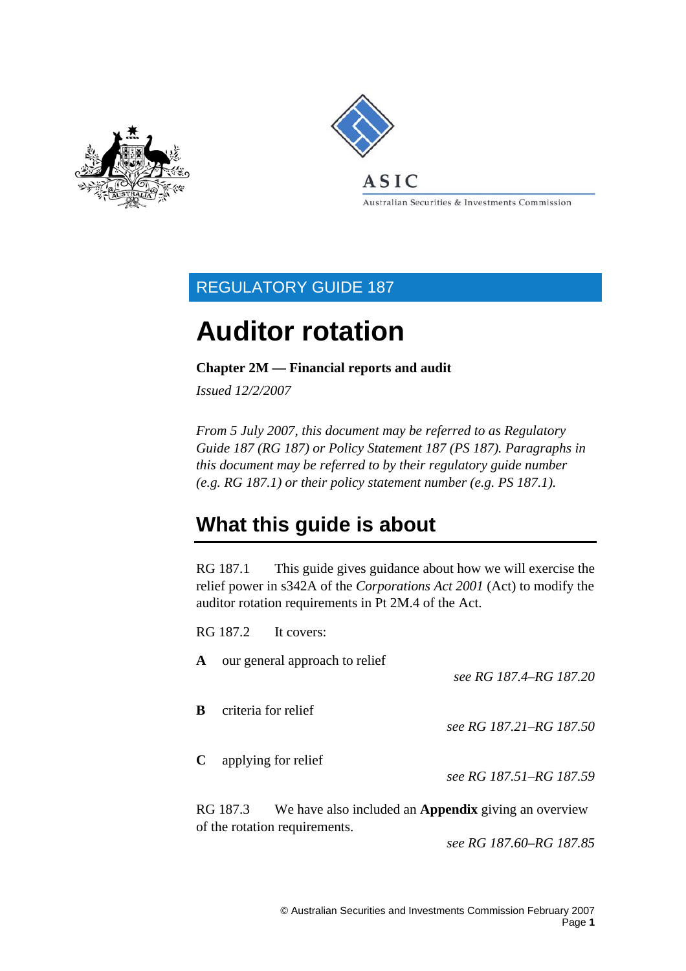<span id="page-0-0"></span>



ASIC

Australian Securities & Investments Commission

# REGULATORY GUIDE 187

# **Auditor rotation**

# **Chapter 2M — Financial reports and audit**

*Issued 12/2/2007* 

*From 5 July 2007, this document may be referred to as Regulatory Guide 187 (RG 187) or Policy Statement 187 (PS 187). Paragraphs in this document may be referred to by their regulatory guide number (e.g. RG 187.1) or their policy statement number (e.g. PS 187.1).* 

# **What this guide is about**

RG 187.1 This guide gives guidance about how we will exercise the relief power in s342A of the *Corporations Act 2001* (Act) to modify the auditor rotation requirements in Pt 2M.4 of the Act.

|   | RG 187.2            | It covers:                                                                                   |                         |
|---|---------------------|----------------------------------------------------------------------------------------------|-------------------------|
| A |                     | our general approach to relief                                                               | see RG 187.4–RG 187.20  |
| B | criteria for relief |                                                                                              | see RG 187.21-RG 187.50 |
|   |                     | $C$ applying for relief                                                                      | see RG 187.51-RG 187.59 |
|   | RG 187.3            | We have also included an <b>Appendix</b> giving an overview<br>of the rotation requirements. |                         |

*see RG 187.60–RG 187.85*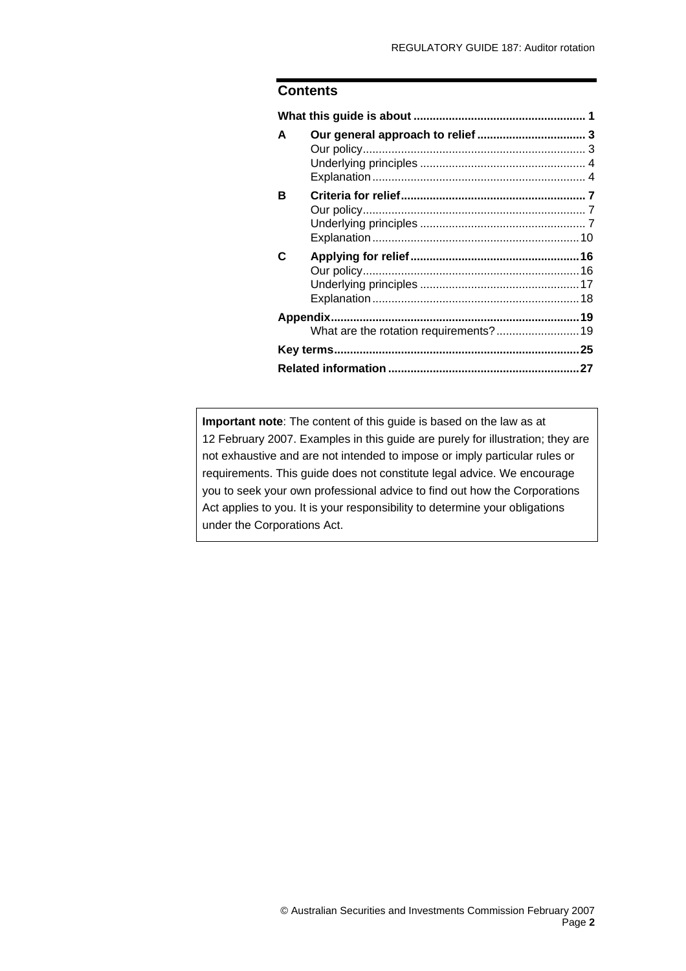### **Contents**

| A |  |  |  |
|---|--|--|--|
| в |  |  |  |
| C |  |  |  |
|   |  |  |  |
|   |  |  |  |
|   |  |  |  |

**Important note**: The content of this guide is based on the law as at 12 February 2007. Examples in this guide are purely for illustration; they are not exhaustive and are not intended to impose or imply particular rules or requirements. This guide does not constitute legal advice. We encourage you to seek your own professional advice to find out how the Corporations Act applies to you. It is your responsibility to determine your obligations under the Corporations Act.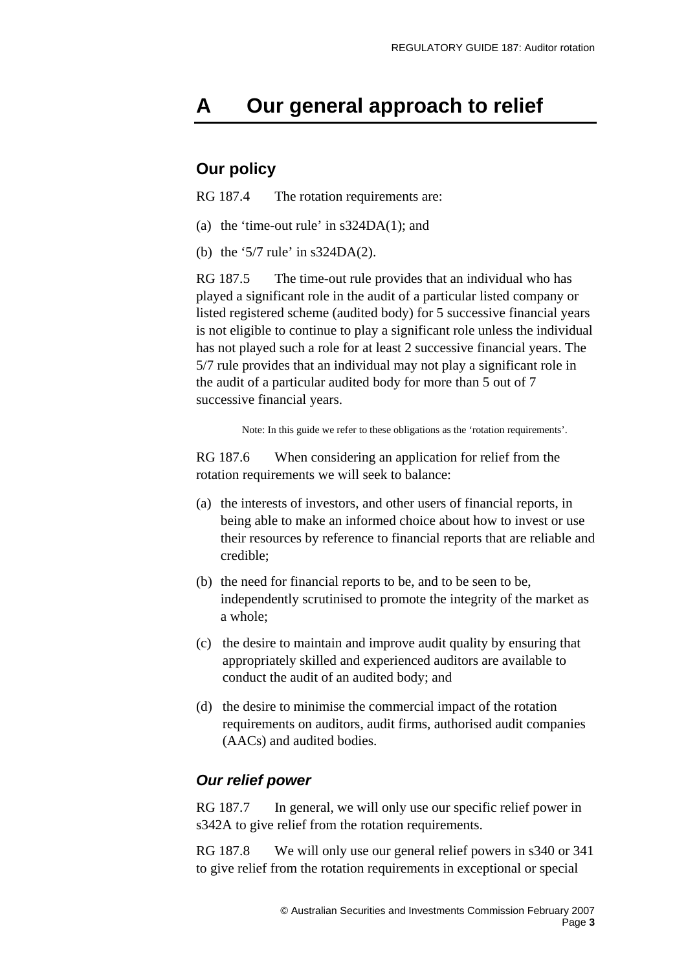# <span id="page-2-0"></span>**A Our general approach to relief**

# **Our policy**

RG 187.4 The rotation requirements are:

- (a) the 'time-out rule' in  $s324DA(1)$ ; and
- (b) the '5/7 rule' in s324DA(2).

RG 187.5 The time-out rule provides that an individual who has played a significant role in the audit of a particular listed company or listed registered scheme (audited body) for 5 successive financial years is not eligible to continue to play a significant role unless the individual has not played such a role for at least 2 successive financial years. The 5/7 rule provides that an individual may not play a significant role in the audit of a particular audited body for more than 5 out of 7 successive financial years.

Note: In this guide we refer to these obligations as the 'rotation requirements'.

RG 187.6 When considering an application for relief from the rotation requirements we will seek to balance:

- (a) the interests of investors, and other users of financial reports, in being able to make an informed choice about how to invest or use their resources by reference to financial reports that are reliable and credible;
- (b) the need for financial reports to be, and to be seen to be, independently scrutinised to promote the integrity of the market as a whole;
- (c) the desire to maintain and improve audit quality by ensuring that appropriately skilled and experienced auditors are available to conduct the audit of an audited body; and
- (d) the desire to minimise the commercial impact of the rotation requirements on auditors, audit firms, authorised audit companies (AACs) and audited bodies.

# *Our relief power*

RG 187.7 In general, we will only use our specific relief power in s342A to give relief from the rotation requirements.

RG 187.8 We will only use our general relief powers in s340 or 341 to give relief from the rotation requirements in exceptional or special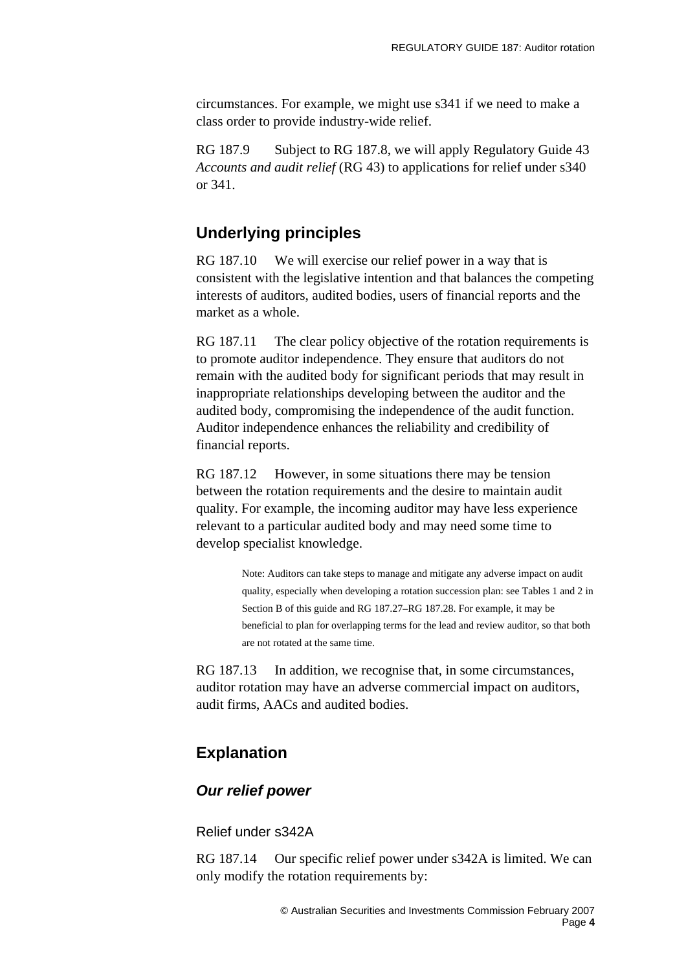<span id="page-3-0"></span>circumstances. For example, we might use s341 if we need to make a class order to provide industry-wide relief.

RG 187.9 Subject to RG 187.8, we will apply Regulatory Guide 43 *Accounts and audit relief* (RG 43) to applications for relief under s340 or 341.

# **Underlying principles**

RG 187.10 We will exercise our relief power in a way that is consistent with the legislative intention and that balances the competing interests of auditors, audited bodies, users of financial reports and the market as a whole.

RG 187.11 The clear policy objective of the rotation requirements is to promote auditor independence. They ensure that auditors do not remain with the audited body for significant periods that may result in inappropriate relationships developing between the auditor and the audited body, compromising the independence of the audit function. Auditor independence enhances the reliability and credibility of financial reports.

RG 187.12 However, in some situations there may be tension between the rotation requirements and the desire to maintain audit quality. For example, the incoming auditor may have less experience relevant to a particular audited body and may need some time to develop specialist knowledge.

> Note: Auditors can take steps to manage and mitigate any adverse impact on audit quality, especially when developing a rotation succession plan: see Tables 1 and 2 in Section B of this guide and RG 187.27–RG 187.28. For example, it may be beneficial to plan for overlapping terms for the lead and review auditor, so that both are not rotated at the same time.

RG 187.13 In addition, we recognise that, in some circumstances, auditor rotation may have an adverse commercial impact on auditors, audit firms, AACs and audited bodies.

# **Explanation**

# *Our relief power*

# Relief under s342A

RG 187.14 Our specific relief power under s342A is limited. We can only modify the rotation requirements by: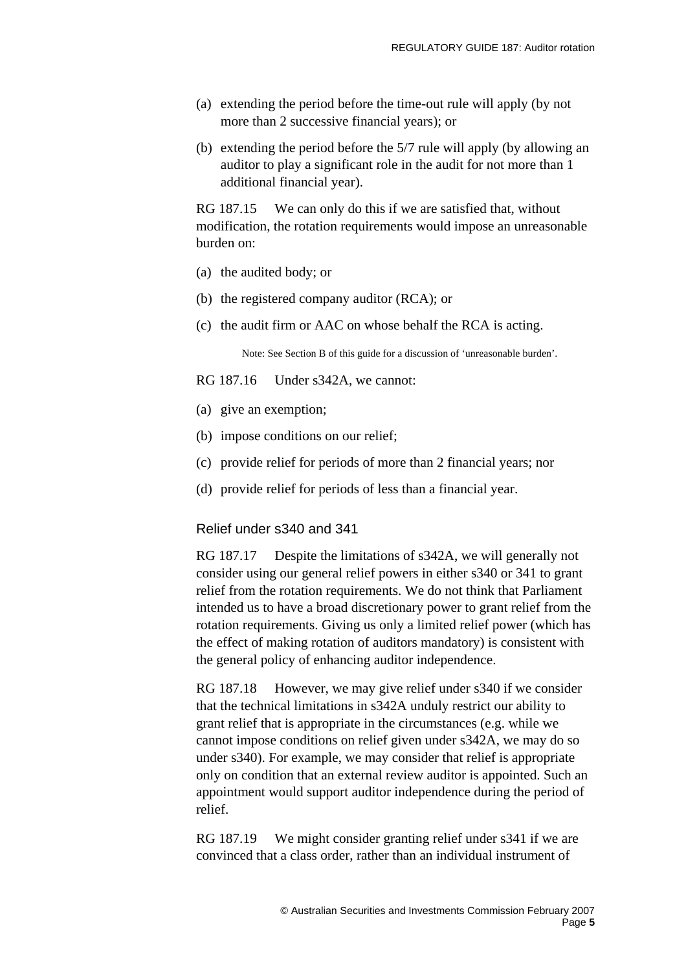- (a) extending the period before the time-out rule will apply (by not more than 2 successive financial years); or
- (b) extending the period before the 5/7 rule will apply (by allowing an auditor to play a significant role in the audit for not more than 1 additional financial year).

RG 187.15 We can only do this if we are satisfied that, without modification, the rotation requirements would impose an unreasonable burden on:

- (a) the audited body; or
- (b) the registered company auditor (RCA); or
- (c) the audit firm or AAC on whose behalf the RCA is acting.

Note: See Section B of this guide for a discussion of 'unreasonable burden'.

- RG 187.16 Under s342A, we cannot:
- (a) give an exemption;
- (b) impose conditions on our relief;
- (c) provide relief for periods of more than 2 financial years; nor
- (d) provide relief for periods of less than a financial year.

### Relief under s340 and 341

RG 187.17 Despite the limitations of s342A, we will generally not consider using our general relief powers in either s340 or 341 to grant relief from the rotation requirements. We do not think that Parliament intended us to have a broad discretionary power to grant relief from the rotation requirements. Giving us only a limited relief power (which has the effect of making rotation of auditors mandatory) is consistent with the general policy of enhancing auditor independence.

RG 187.18 However, we may give relief under s340 if we consider that the technical limitations in s342A unduly restrict our ability to grant relief that is appropriate in the circumstances (e.g. while we cannot impose conditions on relief given under s342A, we may do so under s340). For example, we may consider that relief is appropriate only on condition that an external review auditor is appointed. Such an appointment would support auditor independence during the period of relief.

RG 187.19 We might consider granting relief under s341 if we are convinced that a class order, rather than an individual instrument of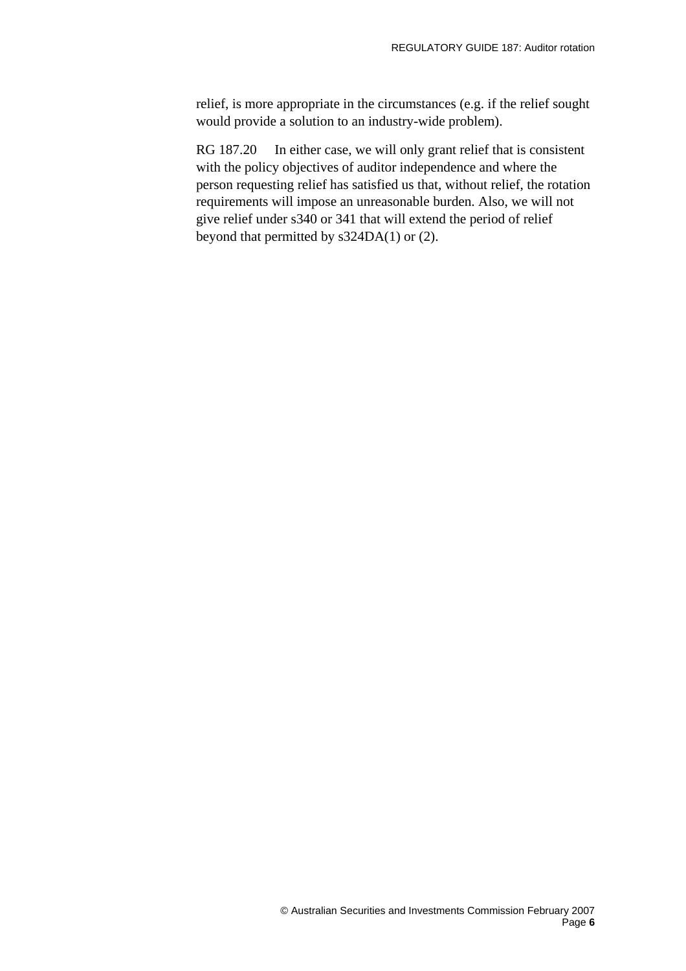relief, is more appropriate in the circumstances (e.g. if the relief sought would provide a solution to an industry-wide problem).

RG 187.20 In either case, we will only grant relief that is consistent with the policy objectives of auditor independence and where the person requesting relief has satisfied us that, without relief, the rotation requirements will impose an unreasonable burden. Also, we will not give relief under s340 or 341 that will extend the period of relief beyond that permitted by s324DA(1) or (2).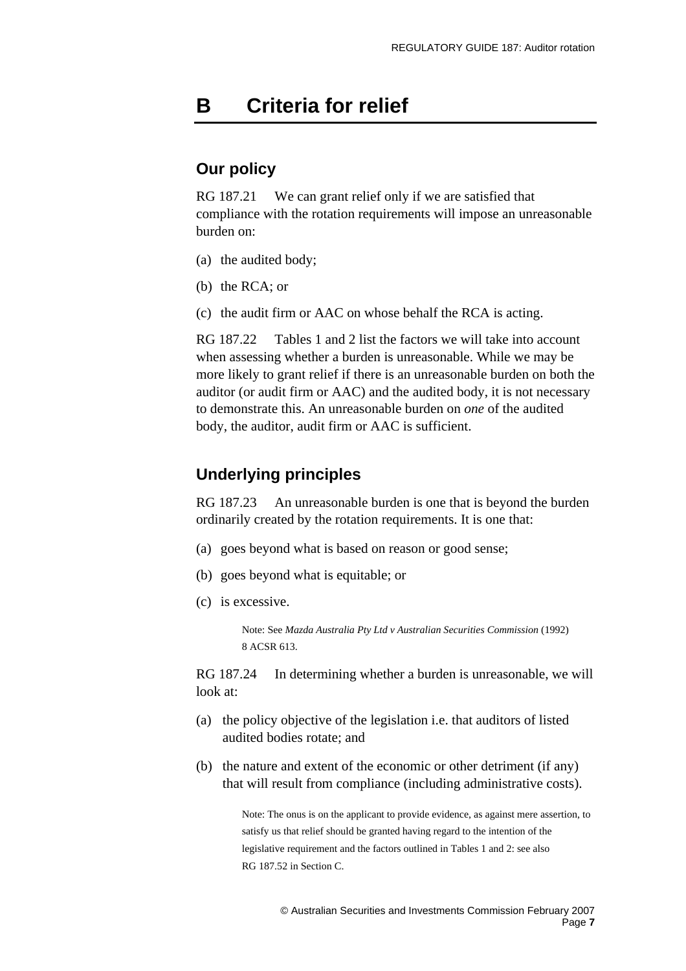# <span id="page-6-0"></span>**B Criteria for relief**

# **Our policy**

RG 187.21 We can grant relief only if we are satisfied that compliance with the rotation requirements will impose an unreasonable burden on:

- (a) the audited body;
- (b) the RCA; or
- (c) the audit firm or AAC on whose behalf the RCA is acting.

RG 187.22 Tables 1 and 2 list the factors we will take into account when assessing whether a burden is unreasonable. While we may be more likely to grant relief if there is an unreasonable burden on both the auditor (or audit firm or AAC) and the audited body, it is not necessary to demonstrate this. An unreasonable burden on *one* of the audited body, the auditor, audit firm or AAC is sufficient.

# **Underlying principles**

RG 187.23 An unreasonable burden is one that is beyond the burden ordinarily created by the rotation requirements. It is one that:

- (a) goes beyond what is based on reason or good sense;
- (b) goes beyond what is equitable; or
- (c) is excessive.

Note: See *Mazda Australia Pty Ltd v Australian Securities Commission* (1992) 8 ACSR 613.

RG 187.24 In determining whether a burden is unreasonable, we will look at:

- (a) the policy objective of the legislation i.e. that auditors of listed audited bodies rotate; and
- (b) the nature and extent of the economic or other detriment (if any) that will result from compliance (including administrative costs).

Note: The onus is on the applicant to provide evidence, as against mere assertion, to satisfy us that relief should be granted having regard to the intention of the legislative requirement and the factors outlined in Tables 1 and 2: see also RG 187.52 in Section C.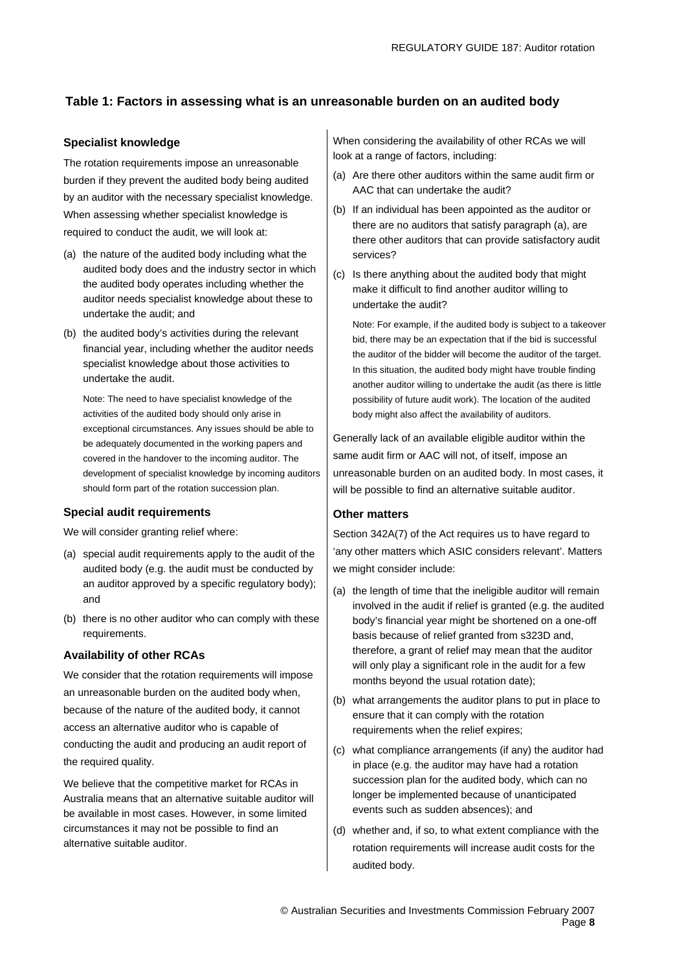### **Table 1: Factors in assessing what is an unreasonable burden on an audited body**

#### **Specialist knowledge**

The rotation requirements impose an unreasonable burden if they prevent the audited body being audited by an auditor with the necessary specialist knowledge. When assessing whether specialist knowledge is required to conduct the audit, we will look at:

- (a) the nature of the audited body including what the audited body does and the industry sector in which the audited body operates including whether the auditor needs specialist knowledge about these to undertake the audit; and
- (b) the audited body's activities during the relevant financial year, including whether the auditor needs specialist knowledge about those activities to undertake the audit.

Note: The need to have specialist knowledge of the activities of the audited body should only arise in exceptional circumstances. Any issues should be able to be adequately documented in the working papers and covered in the handover to the incoming auditor. The development of specialist knowledge by incoming auditors should form part of the rotation succession plan.

#### **Special audit requirements**

We will consider granting relief where:

- (a) special audit requirements apply to the audit of the audited body (e.g. the audit must be conducted by an auditor approved by a specific regulatory body); and
- (b) there is no other auditor who can comply with these requirements.

#### **Availability of other RCAs**

We consider that the rotation requirements will impose an unreasonable burden on the audited body when, because of the nature of the audited body, it cannot access an alternative auditor who is capable of conducting the audit and producing an audit report of the required quality.

We believe that the competitive market for RCAs in Australia means that an alternative suitable auditor will be available in most cases. However, in some limited circumstances it may not be possible to find an alternative suitable auditor.

When considering the availability of other RCAs we will look at a range of factors, including:

- (a) Are there other auditors within the same audit firm or AAC that can undertake the audit?
- (b) If an individual has been appointed as the auditor or there are no auditors that satisfy paragraph (a), are there other auditors that can provide satisfactory audit services?
- (c) Is there anything about the audited body that might make it difficult to find another auditor willing to undertake the audit?

Note: For example, if the audited body is subject to a takeover bid, there may be an expectation that if the bid is successful the auditor of the bidder will become the auditor of the target. In this situation, the audited body might have trouble finding another auditor willing to undertake the audit (as there is little possibility of future audit work). The location of the audited body might also affect the availability of auditors.

Generally lack of an available eligible auditor within the same audit firm or AAC will not, of itself, impose an unreasonable burden on an audited body. In most cases, it will be possible to find an alternative suitable auditor.

#### **Other matters**

Section 342A(7) of the Act requires us to have regard to 'any other matters which ASIC considers relevant'. Matters we might consider include:

- (a) the length of time that the ineligible auditor will remain involved in the audit if relief is granted (e.g. the audited body's financial year might be shortened on a one-off basis because of relief granted from s323D and, therefore, a grant of relief may mean that the auditor will only play a significant role in the audit for a few months beyond the usual rotation date);
- (b) what arrangements the auditor plans to put in place to ensure that it can comply with the rotation requirements when the relief expires;
- (c) what compliance arrangements (if any) the auditor had in place (e.g. the auditor may have had a rotation succession plan for the audited body, which can no longer be implemented because of unanticipated events such as sudden absences); and
- (d) whether and, if so, to what extent compliance with the rotation requirements will increase audit costs for the audited body.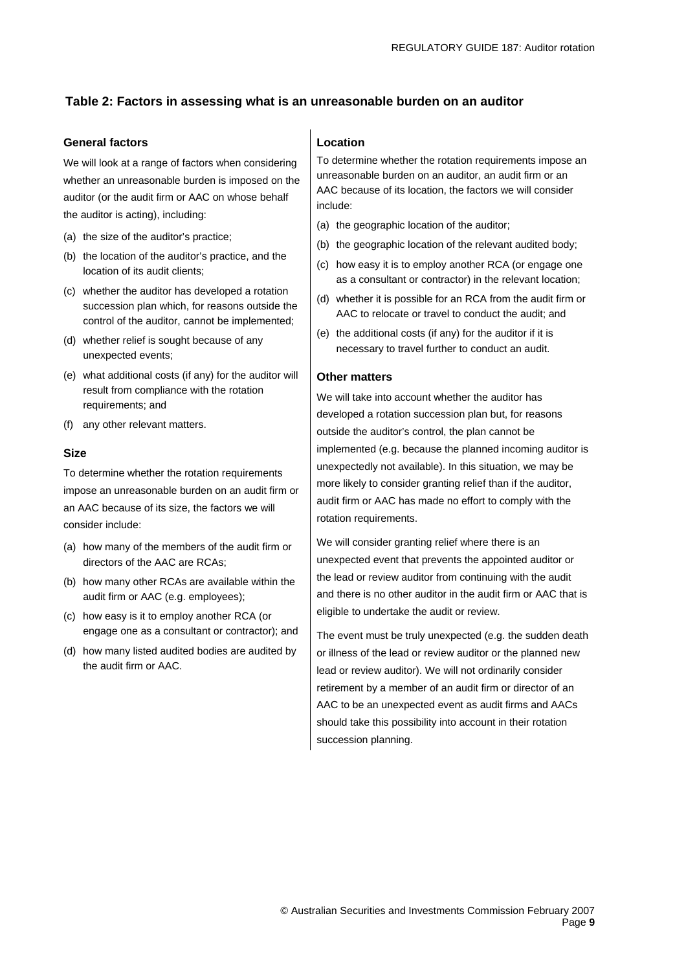## **Table 2: Factors in assessing what is an unreasonable burden on an auditor**

#### **General factors**

We will look at a range of factors when considering whether an unreasonable burden is imposed on the auditor (or the audit firm or AAC on whose behalf the auditor is acting), including:

- (a) the size of the auditor's practice;
- (b) the location of the auditor's practice, and the location of its audit clients;
- (c) whether the auditor has developed a rotation succession plan which, for reasons outside the control of the auditor, cannot be implemented;
- (d) whether relief is sought because of any unexpected events;
- (e) what additional costs (if any) for the auditor will result from compliance with the rotation requirements; and
- (f) any other relevant matters.

#### **Size**

To determine whether the rotation requirements impose an unreasonable burden on an audit firm or an AAC because of its size, the factors we will consider include:

- (a) how many of the members of the audit firm or directors of the AAC are RCAs;
- (b) how many other RCAs are available within the audit firm or AAC (e.g. employees);
- (c) how easy is it to employ another RCA (or engage one as a consultant or contractor); and
- (d) how many listed audited bodies are audited by the audit firm or AAC.

#### **Location**

To determine whether the rotation requirements impose an unreasonable burden on an auditor, an audit firm or an AAC because of its location, the factors we will consider include:

- (a) the geographic location of the auditor;
- (b) the geographic location of the relevant audited body;
- (c) how easy it is to employ another RCA (or engage one as a consultant or contractor) in the relevant location;
- (d) whether it is possible for an RCA from the audit firm or AAC to relocate or travel to conduct the audit; and
- (e) the additional costs (if any) for the auditor if it is necessary to travel further to conduct an audit.

## **Other matters**

We will take into account whether the auditor has developed a rotation succession plan but, for reasons outside the auditor's control, the plan cannot be implemented (e.g. because the planned incoming auditor is unexpectedly not available). In this situation, we may be more likely to consider granting relief than if the auditor, audit firm or AAC has made no effort to comply with the rotation requirements.

We will consider granting relief where there is an unexpected event that prevents the appointed auditor or the lead or review auditor from continuing with the audit and there is no other auditor in the audit firm or AAC that is eligible to undertake the audit or review.

The event must be truly unexpected (e.g. the sudden death or illness of the lead or review auditor or the planned new lead or review auditor). We will not ordinarily consider retirement by a member of an audit firm or director of an AAC to be an unexpected event as audit firms and AACs should take this possibility into account in their rotation succession planning.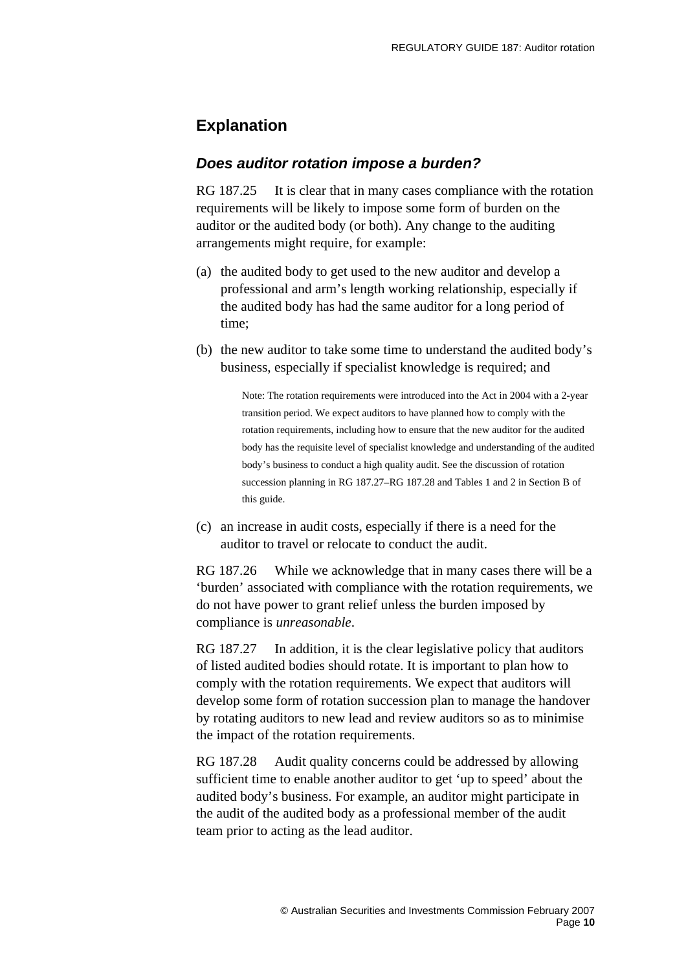# <span id="page-9-0"></span>**Explanation**

# *Does auditor rotation impose a burden?*

RG 187.25 It is clear that in many cases compliance with the rotation requirements will be likely to impose some form of burden on the auditor or the audited body (or both). Any change to the auditing arrangements might require, for example:

- (a) the audited body to get used to the new auditor and develop a professional and arm's length working relationship, especially if the audited body has had the same auditor for a long period of time;
- (b) the new auditor to take some time to understand the audited body's business, especially if specialist knowledge is required; and

Note: The rotation requirements were introduced into the Act in 2004 with a 2-year transition period. We expect auditors to have planned how to comply with the rotation requirements, including how to ensure that the new auditor for the audited body has the requisite level of specialist knowledge and understanding of the audited body's business to conduct a high quality audit. See the discussion of rotation succession planning in RG 187.27–RG 187.28 and Tables 1 and 2 in Section B of this guide.

(c) an increase in audit costs, especially if there is a need for the auditor to travel or relocate to conduct the audit.

RG 187.26 While we acknowledge that in many cases there will be a 'burden' associated with compliance with the rotation requirements, we do not have power to grant relief unless the burden imposed by compliance is *unreasonable*.

RG 187.27 In addition, it is the clear legislative policy that auditors of listed audited bodies should rotate. It is important to plan how to comply with the rotation requirements. We expect that auditors will develop some form of rotation succession plan to manage the handover by rotating auditors to new lead and review auditors so as to minimise the impact of the rotation requirements.

RG 187.28 Audit quality concerns could be addressed by allowing sufficient time to enable another auditor to get 'up to speed' about the audited body's business. For example, an auditor might participate in the audit of the audited body as a professional member of the audit team prior to acting as the lead auditor.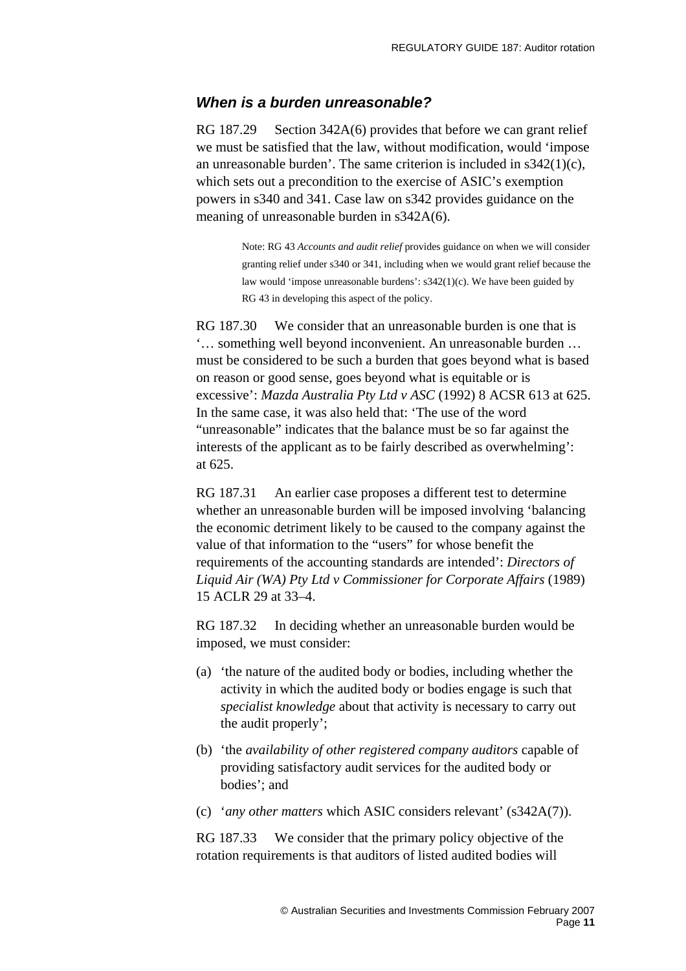## *When is a burden unreasonable?*

RG 187.29 Section 342A(6) provides that before we can grant relief we must be satisfied that the law, without modification, would 'impose an unreasonable burden'. The same criterion is included in s342(1)(c), which sets out a precondition to the exercise of ASIC's exemption powers in s340 and 341. Case law on s342 provides guidance on the meaning of unreasonable burden in s342A(6).

> Note: RG 43 *Accounts and audit relief* provides guidance on when we will consider granting relief under s340 or 341, including when we would grant relief because the law would 'impose unreasonable burdens': s342(1)(c). We have been guided by RG 43 in developing this aspect of the policy.

RG 187.30 We consider that an unreasonable burden is one that is '… something well beyond inconvenient. An unreasonable burden … must be considered to be such a burden that goes beyond what is based on reason or good sense, goes beyond what is equitable or is excessive': *Mazda Australia Pty Ltd v ASC* (1992) 8 ACSR 613 at 625. In the same case, it was also held that: 'The use of the word "unreasonable" indicates that the balance must be so far against the interests of the applicant as to be fairly described as overwhelming': at 625.

RG 187.31 An earlier case proposes a different test to determine whether an unreasonable burden will be imposed involving 'balancing the economic detriment likely to be caused to the company against the value of that information to the "users" for whose benefit the requirements of the accounting standards are intended': *Directors of Liquid Air (WA) Pty Ltd v Commissioner for Corporate Affairs* (1989) 15 ACLR 29 at 33–4.

RG 187.32 In deciding whether an unreasonable burden would be imposed, we must consider:

- (a) 'the nature of the audited body or bodies, including whether the activity in which the audited body or bodies engage is such that *specialist knowledge* about that activity is necessary to carry out the audit properly';
- (b) 'the *availability of other registered company auditors* capable of providing satisfactory audit services for the audited body or bodies'; and
- (c) '*any other matters* which ASIC considers relevant' (s342A(7)).

RG 187.33 We consider that the primary policy objective of the rotation requirements is that auditors of listed audited bodies will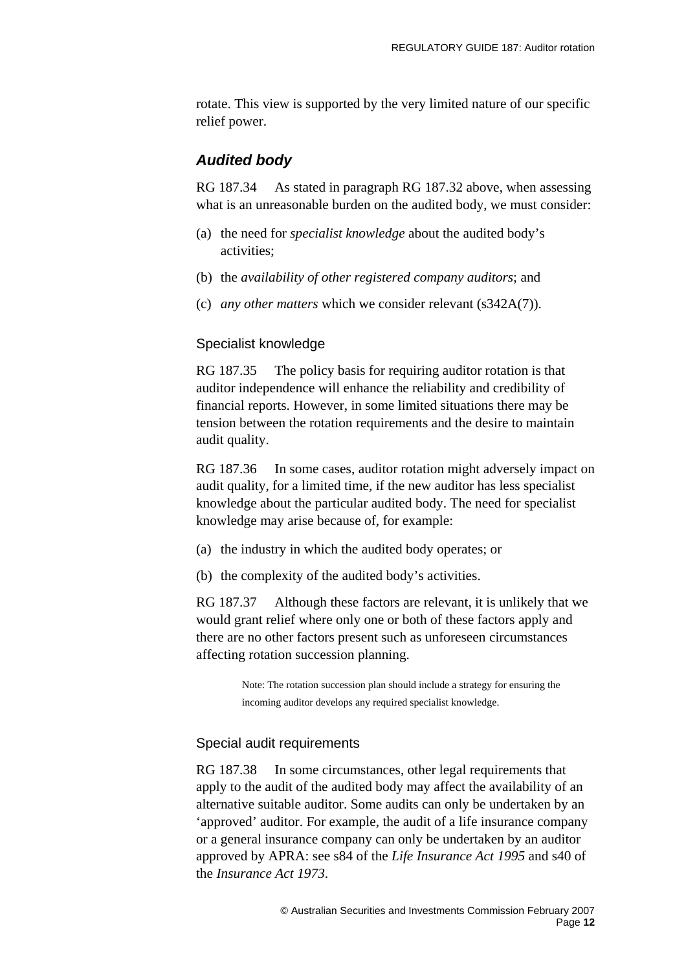rotate. This view is supported by the very limited nature of our specific relief power.

# *Audited body*

RG 187.34 As stated in paragraph RG 187.32 above, when assessing what is an unreasonable burden on the audited body, we must consider:

- (a) the need for *specialist knowledge* about the audited body's activities;
- (b) the *availability of other registered company auditors*; and
- (c) *any other matters* which we consider relevant (s342A(7)).

### Specialist knowledge

RG 187.35 The policy basis for requiring auditor rotation is that auditor independence will enhance the reliability and credibility of financial reports. However, in some limited situations there may be tension between the rotation requirements and the desire to maintain audit quality.

RG 187.36 In some cases, auditor rotation might adversely impact on audit quality, for a limited time, if the new auditor has less specialist knowledge about the particular audited body. The need for specialist knowledge may arise because of, for example:

- (a) the industry in which the audited body operates; or
- (b) the complexity of the audited body's activities.

RG 187.37 Although these factors are relevant, it is unlikely that we would grant relief where only one or both of these factors apply and there are no other factors present such as unforeseen circumstances affecting rotation succession planning.

> Note: The rotation succession plan should include a strategy for ensuring the incoming auditor develops any required specialist knowledge.

### Special audit requirements

RG 187.38 In some circumstances, other legal requirements that apply to the audit of the audited body may affect the availability of an alternative suitable auditor. Some audits can only be undertaken by an 'approved' auditor. For example, the audit of a life insurance company or a general insurance company can only be undertaken by an auditor approved by APRA: see s84 of the *Life Insurance Act 1995* and s40 of the *Insurance Act 1973*.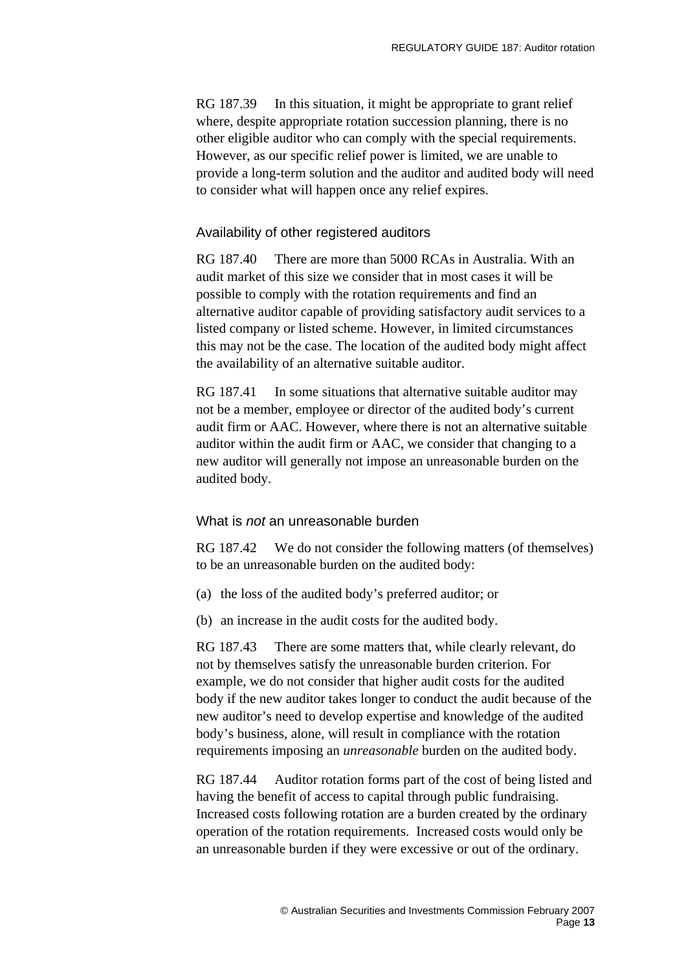RG 187.39 In this situation, it might be appropriate to grant relief where, despite appropriate rotation succession planning, there is no other eligible auditor who can comply with the special requirements. However, as our specific relief power is limited, we are unable to provide a long-term solution and the auditor and audited body will need to consider what will happen once any relief expires.

#### Availability of other registered auditors

RG 187.40 There are more than 5000 RCAs in Australia. With an audit market of this size we consider that in most cases it will be possible to comply with the rotation requirements and find an alternative auditor capable of providing satisfactory audit services to a listed company or listed scheme. However, in limited circumstances this may not be the case. The location of the audited body might affect the availability of an alternative suitable auditor.

RG 187.41 In some situations that alternative suitable auditor may not be a member, employee or director of the audited body's current audit firm or AAC. However, where there is not an alternative suitable auditor within the audit firm or AAC, we consider that changing to a new auditor will generally not impose an unreasonable burden on the audited body.

#### What is *not* an unreasonable burden

RG 187.42 We do not consider the following matters (of themselves) to be an unreasonable burden on the audited body:

- (a) the loss of the audited body's preferred auditor; or
- (b) an increase in the audit costs for the audited body.

RG 187.43 There are some matters that, while clearly relevant, do not by themselves satisfy the unreasonable burden criterion. For example, we do not consider that higher audit costs for the audited body if the new auditor takes longer to conduct the audit because of the new auditor's need to develop expertise and knowledge of the audited body's business, alone, will result in compliance with the rotation requirements imposing an *unreasonable* burden on the audited body.

RG 187.44 Auditor rotation forms part of the cost of being listed and having the benefit of access to capital through public fundraising. Increased costs following rotation are a burden created by the ordinary operation of the rotation requirements. Increased costs would only be an unreasonable burden if they were excessive or out of the ordinary.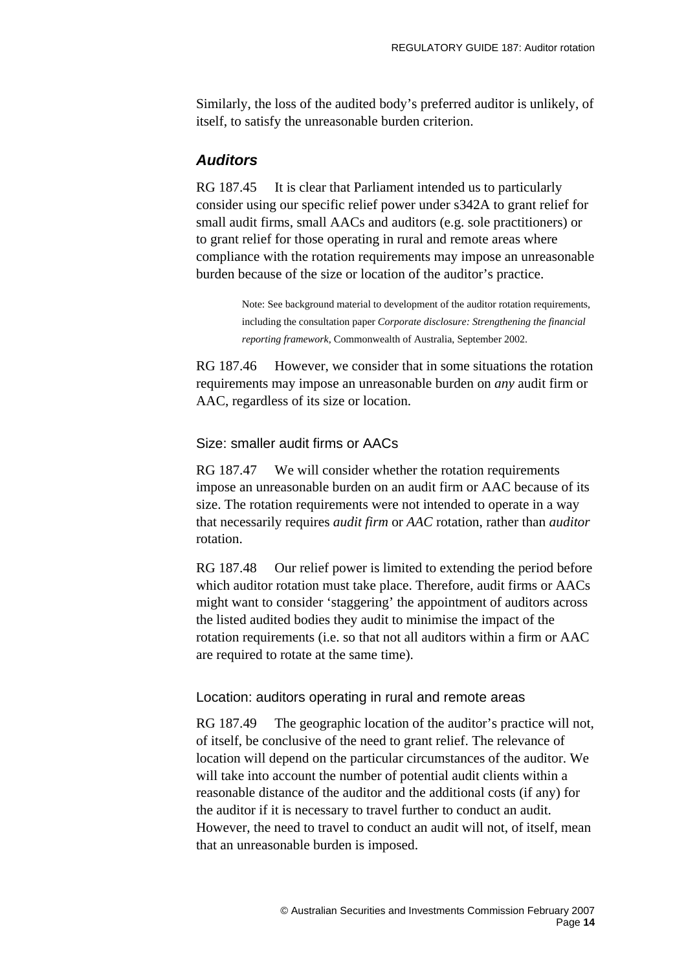Similarly, the loss of the audited body's preferred auditor is unlikely, of itself, to satisfy the unreasonable burden criterion.

# *Auditors*

RG 187.45 It is clear that Parliament intended us to particularly consider using our specific relief power under s342A to grant relief for small audit firms, small AACs and auditors (e.g. sole practitioners) or to grant relief for those operating in rural and remote areas where compliance with the rotation requirements may impose an unreasonable burden because of the size or location of the auditor's practice.

> Note: See background material to development of the auditor rotation requirements, including the consultation paper *Corporate disclosure: Strengthening the financial reporting framework*, Commonwealth of Australia, September 2002.

RG 187.46 However, we consider that in some situations the rotation requirements may impose an unreasonable burden on *any* audit firm or AAC, regardless of its size or location.

#### Size: smaller audit firms or AACs

RG 187.47 We will consider whether the rotation requirements impose an unreasonable burden on an audit firm or AAC because of its size. The rotation requirements were not intended to operate in a way that necessarily requires *audit firm* or *AAC* rotation, rather than *auditor*  rotation.

RG 187.48 Our relief power is limited to extending the period before which auditor rotation must take place. Therefore, audit firms or AACs might want to consider 'staggering' the appointment of auditors across the listed audited bodies they audit to minimise the impact of the rotation requirements (i.e. so that not all auditors within a firm or AAC are required to rotate at the same time).

#### Location: auditors operating in rural and remote areas

RG 187.49 The geographic location of the auditor's practice will not, of itself, be conclusive of the need to grant relief. The relevance of location will depend on the particular circumstances of the auditor. We will take into account the number of potential audit clients within a reasonable distance of the auditor and the additional costs (if any) for the auditor if it is necessary to travel further to conduct an audit. However, the need to travel to conduct an audit will not, of itself, mean that an unreasonable burden is imposed.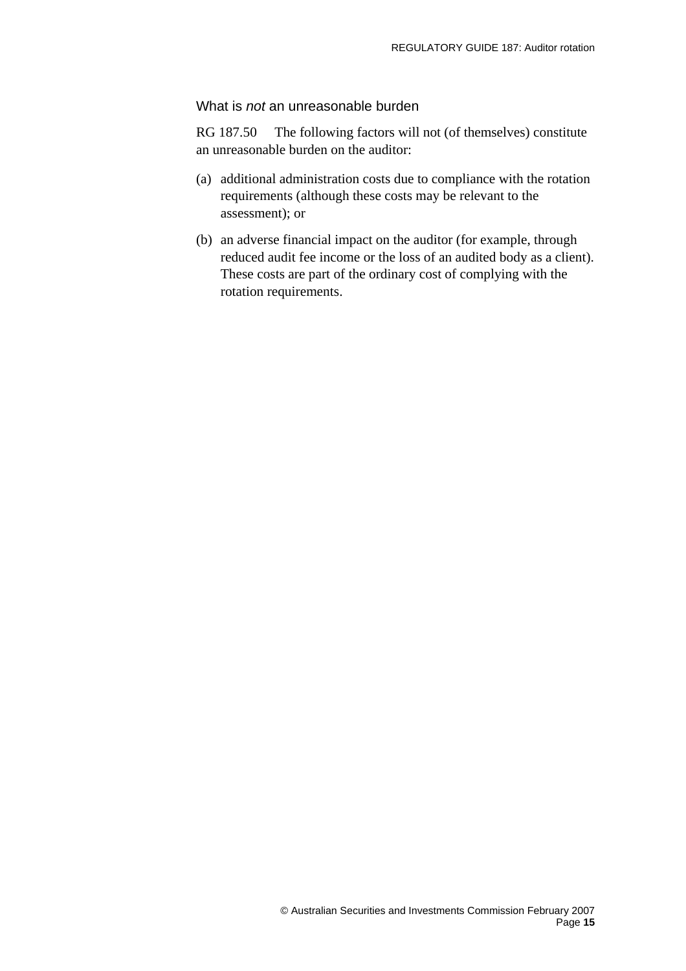## What is *not* an unreasonable burden

RG 187.50 The following factors will not (of themselves) constitute an unreasonable burden on the auditor:

- (a) additional administration costs due to compliance with the rotation requirements (although these costs may be relevant to the assessment); or
- (b) an adverse financial impact on the auditor (for example, through reduced audit fee income or the loss of an audited body as a client). These costs are part of the ordinary cost of complying with the rotation requirements.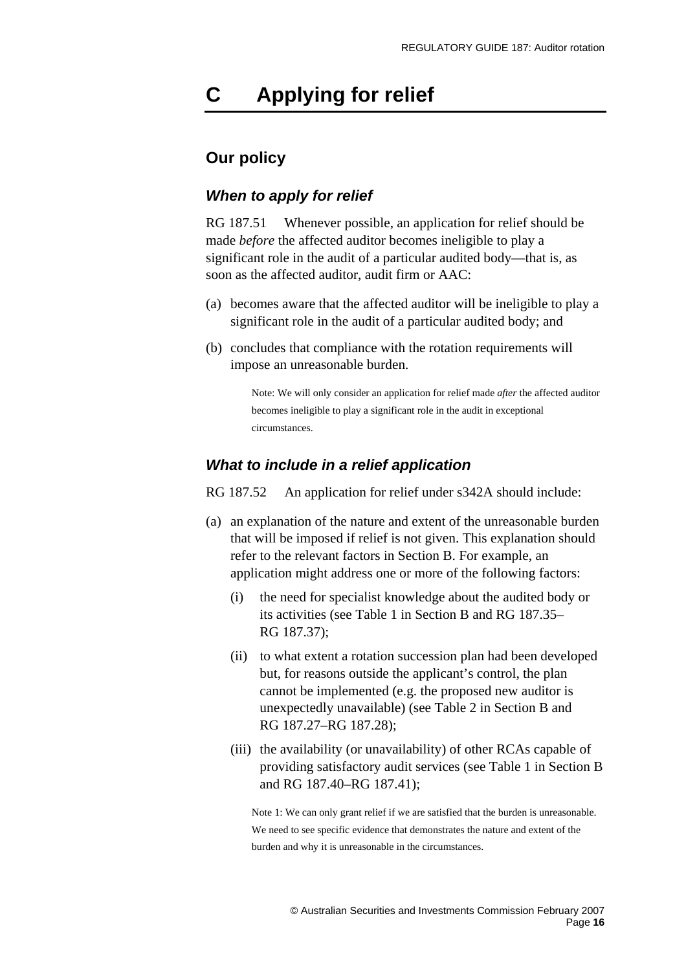# <span id="page-15-0"></span>**C Applying for relief**

# **Our policy**

# *When to apply for relief*

RG 187.51 Whenever possible, an application for relief should be made *before* the affected auditor becomes ineligible to play a significant role in the audit of a particular audited body—that is, as soon as the affected auditor, audit firm or AAC:

- (a) becomes aware that the affected auditor will be ineligible to play a significant role in the audit of a particular audited body; and
- (b) concludes that compliance with the rotation requirements will impose an unreasonable burden.

Note: We will only consider an application for relief made *after* the affected auditor becomes ineligible to play a significant role in the audit in exceptional circumstances.

## *What to include in a relief application*

RG 187.52 An application for relief under s342A should include:

- (a) an explanation of the nature and extent of the unreasonable burden that will be imposed if relief is not given. This explanation should refer to the relevant factors in Section B. For example, an application might address one or more of the following factors:
	- (i) the need for specialist knowledge about the audited body or its activities (see Table 1 in Section B and RG 187.35– RG 187.37);
	- (ii) to what extent a rotation succession plan had been developed but, for reasons outside the applicant's control, the plan cannot be implemented (e.g. the proposed new auditor is unexpectedly unavailable) (see Table 2 in Section B and RG 187.27–RG 187.28);
	- (iii) the availability (or unavailability) of other RCAs capable of providing satisfactory audit services (see Table 1 in Section B and RG 187.40–RG 187.41);

Note 1: We can only grant relief if we are satisfied that the burden is unreasonable. We need to see specific evidence that demonstrates the nature and extent of the burden and why it is unreasonable in the circumstances.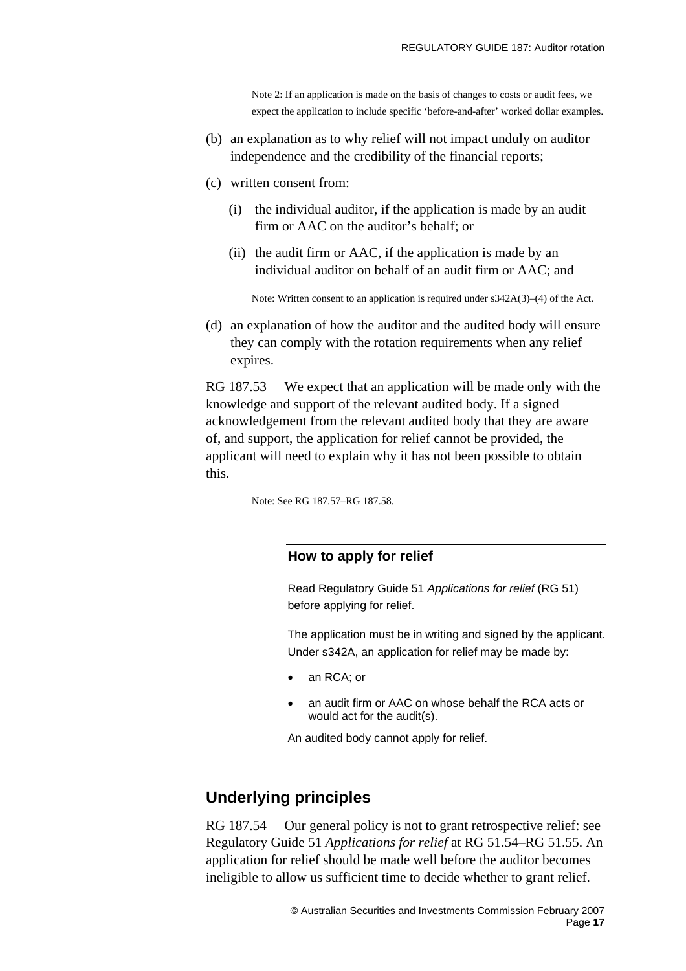Note 2: If an application is made on the basis of changes to costs or audit fees, we expect the application to include specific 'before-and-after' worked dollar examples.

- <span id="page-16-0"></span>(b) an explanation as to why relief will not impact unduly on auditor independence and the credibility of the financial reports;
- (c) written consent from:
	- (i) the individual auditor, if the application is made by an audit firm or AAC on the auditor's behalf; or
	- (ii) the audit firm or AAC, if the application is made by an individual auditor on behalf of an audit firm or AAC; and

Note: Written consent to an application is required under s342A(3)–(4) of the Act.

(d) an explanation of how the auditor and the audited body will ensure they can comply with the rotation requirements when any relief expires.

RG 187.53 We expect that an application will be made only with the knowledge and support of the relevant audited body. If a signed acknowledgement from the relevant audited body that they are aware of, and support, the application for relief cannot be provided, the applicant will need to explain why it has not been possible to obtain this.

Note: See RG 187.57–RG 187.58.

### **How to apply for relief**

Read Regulatory Guide 51 *Applications for relief* (RG 51) before applying for relief.

The application must be in writing and signed by the applicant. Under s342A, an application for relief may be made by:

- an RCA; or
- an audit firm or AAC on whose behalf the RCA acts or would act for the audit(s).

An audited body cannot apply for relief.

# **Underlying principles**

RG 187.54 Our general policy is not to grant retrospective relief: see Regulatory Guide 51 *Applications for relief* at RG 51.54–RG 51.55. An application for relief should be made well before the auditor becomes ineligible to allow us sufficient time to decide whether to grant relief.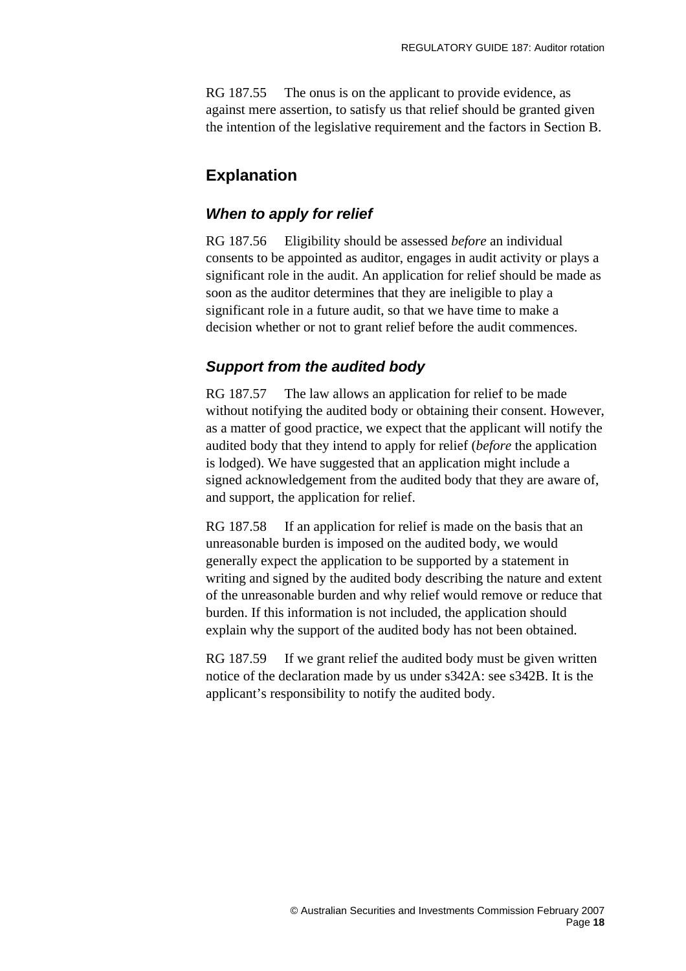<span id="page-17-0"></span>RG 187.55 The onus is on the applicant to provide evidence, as against mere assertion, to satisfy us that relief should be granted given the intention of the legislative requirement and the factors in Section B.

# **Explanation**

# *When to apply for relief*

RG 187.56 Eligibility should be assessed *before* an individual consents to be appointed as auditor, engages in audit activity or plays a significant role in the audit. An application for relief should be made as soon as the auditor determines that they are ineligible to play a significant role in a future audit, so that we have time to make a decision whether or not to grant relief before the audit commences.

# *Support from the audited body*

RG 187.57 The law allows an application for relief to be made without notifying the audited body or obtaining their consent. However, as a matter of good practice, we expect that the applicant will notify the audited body that they intend to apply for relief (*before* the application is lodged). We have suggested that an application might include a signed acknowledgement from the audited body that they are aware of, and support, the application for relief.

RG 187.58 If an application for relief is made on the basis that an unreasonable burden is imposed on the audited body, we would generally expect the application to be supported by a statement in writing and signed by the audited body describing the nature and extent of the unreasonable burden and why relief would remove or reduce that burden. If this information is not included, the application should explain why the support of the audited body has not been obtained.

RG 187.59 If we grant relief the audited body must be given written notice of the declaration made by us under s342A: see s342B. It is the applicant's responsibility to notify the audited body.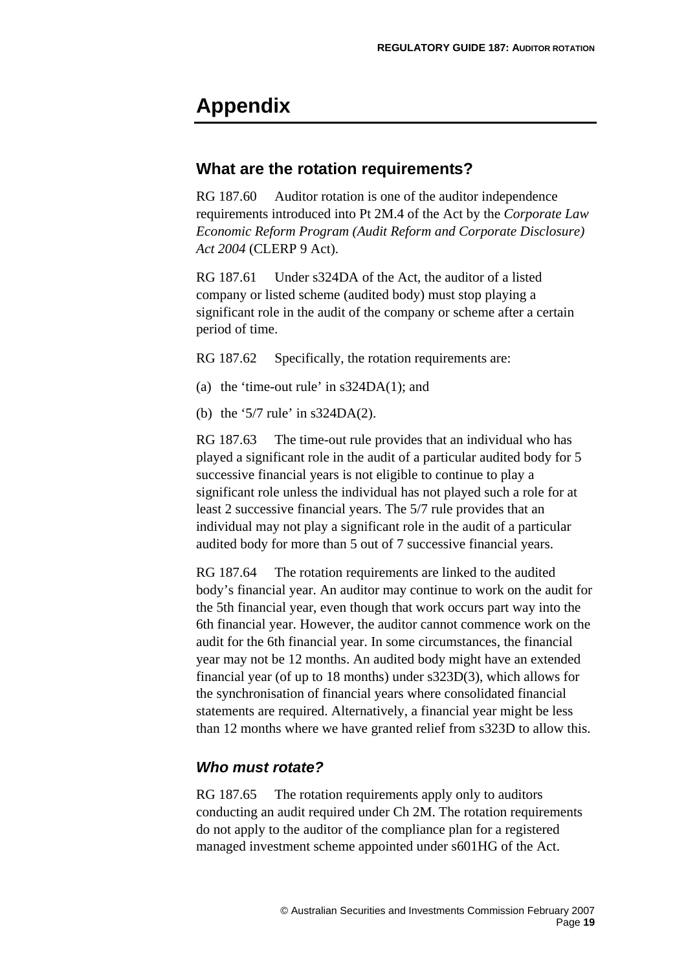# <span id="page-18-0"></span>**Appendix**

# **What are the rotation requirements?**

RG 187.60 Auditor rotation is one of the auditor independence requirements introduced into Pt 2M.4 of the Act by the *Corporate Law Economic Reform Program (Audit Reform and Corporate Disclosure) Act 2004* (CLERP 9 Act).

RG 187.61 Under s324DA of the Act, the auditor of a listed company or listed scheme (audited body) must stop playing a significant role in the audit of the company or scheme after a certain period of time.

RG 187.62 Specifically, the rotation requirements are:

- (a) the 'time-out rule' in  $s324DA(1)$ ; and
- (b) the '5/7 rule' in s324DA(2).

RG 187.63 The time-out rule provides that an individual who has played a significant role in the audit of a particular audited body for 5 successive financial years is not eligible to continue to play a significant role unless the individual has not played such a role for at least 2 successive financial years. The 5/7 rule provides that an individual may not play a significant role in the audit of a particular audited body for more than 5 out of 7 successive financial years.

RG 187.64 The rotation requirements are linked to the audited body's financial year. An auditor may continue to work on the audit for the 5th financial year, even though that work occurs part way into the 6th financial year. However, the auditor cannot commence work on the audit for the 6th financial year. In some circumstances, the financial year may not be 12 months. An audited body might have an extended financial year (of up to 18 months) under s323D(3), which allows for the synchronisation of financial years where consolidated financial statements are required. Alternatively, a financial year might be less than 12 months where we have granted relief from s323D to allow this.

# *Who must rotate?*

RG 187.65 The rotation requirements apply only to auditors conducting an audit required under Ch 2M. The rotation requirements do not apply to the auditor of the compliance plan for a registered managed investment scheme appointed under s601HG of the Act.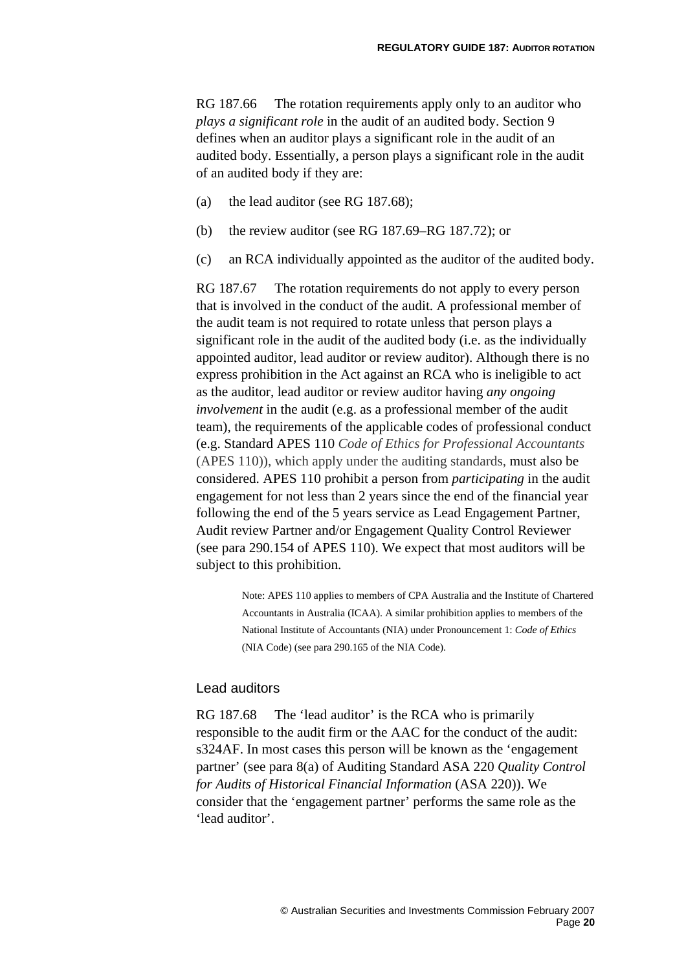RG 187.66 The rotation requirements apply only to an auditor who *plays a significant role* in the audit of an audited body. Section 9 defines when an auditor plays a significant role in the audit of an audited body. Essentially, a person plays a significant role in the audit of an audited body if they are:

- (a) the lead auditor (see RG 187.68);
- (b) the review auditor (see RG 187.69–RG 187.72); or
- (c) an RCA individually appointed as the auditor of the audited body.

RG 187.67 The rotation requirements do not apply to every person that is involved in the conduct of the audit. A professional member of the audit team is not required to rotate unless that person plays a significant role in the audit of the audited body (i.e. as the individually appointed auditor, lead auditor or review auditor). Although there is no express prohibition in the Act against an RCA who is ineligible to act as the auditor, lead auditor or review auditor having *any ongoing involvement* in the audit (e.g. as a professional member of the audit team), the requirements of the applicable codes of professional conduct (e.g. Standard APES 110 *Code of Ethics for Professional Accountants*  (APES 110)), which apply under the auditing standards, must also be considered. APES 110 prohibit a person from *participating* in the audit engagement for not less than 2 years since the end of the financial year following the end of the 5 years service as Lead Engagement Partner, Audit review Partner and/or Engagement Quality Control Reviewer (see para 290.154 of APES 110). We expect that most auditors will be subject to this prohibition.

> Note: APES 110 applies to members of CPA Australia and the Institute of Chartered Accountants in Australia (ICAA). A similar prohibition applies to members of the National Institute of Accountants (NIA) under Pronouncement 1: *Code of Ethics*  (NIA Code) (see para 290.165 of the NIA Code).

### Lead auditors

RG 187.68 The 'lead auditor' is the RCA who is primarily responsible to the audit firm or the AAC for the conduct of the audit: s324AF. In most cases this person will be known as the 'engagement partner' (see para 8(a) of Auditing Standard ASA 220 *Quality Control for Audits of Historical Financial Information* (ASA 220)). We consider that the 'engagement partner' performs the same role as the 'lead auditor'.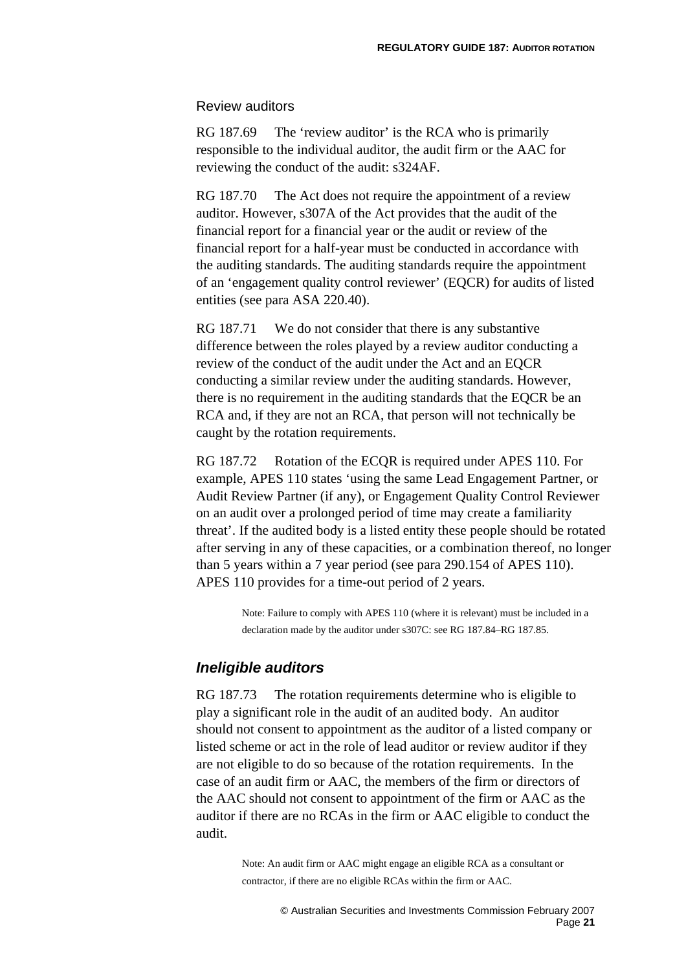### Review auditors

RG 187.69 The 'review auditor' is the RCA who is primarily responsible to the individual auditor, the audit firm or the AAC for reviewing the conduct of the audit: s324AF.

RG 187.70 The Act does not require the appointment of a review auditor. However, s307A of the Act provides that the audit of the financial report for a financial year or the audit or review of the financial report for a half-year must be conducted in accordance with the auditing standards. The auditing standards require the appointment of an 'engagement quality control reviewer' (EQCR) for audits of listed entities (see para ASA 220.40).

RG 187.71 We do not consider that there is any substantive difference between the roles played by a review auditor conducting a review of the conduct of the audit under the Act and an EQCR conducting a similar review under the auditing standards. However, there is no requirement in the auditing standards that the EQCR be an RCA and, if they are not an RCA, that person will not technically be caught by the rotation requirements.

RG 187.72 Rotation of the ECQR is required under APES 110. For example, APES 110 states 'using the same Lead Engagement Partner, or Audit Review Partner (if any), or Engagement Quality Control Reviewer on an audit over a prolonged period of time may create a familiarity threat'. If the audited body is a listed entity these people should be rotated after serving in any of these capacities, or a combination thereof, no longer than 5 years within a 7 year period (see para 290.154 of APES 110). APES 110 provides for a time-out period of 2 years.

> Note: Failure to comply with APES 110 (where it is relevant) must be included in a declaration made by the auditor under s307C: see RG 187.84–RG 187.85.

## *Ineligible auditors*

RG 187.73 The rotation requirements determine who is eligible to play a significant role in the audit of an audited body. An auditor should not consent to appointment as the auditor of a listed company or listed scheme or act in the role of lead auditor or review auditor if they are not eligible to do so because of the rotation requirements. In the case of an audit firm or AAC, the members of the firm or directors of the AAC should not consent to appointment of the firm or AAC as the auditor if there are no RCAs in the firm or AAC eligible to conduct the audit.

> Note: An audit firm or AAC might engage an eligible RCA as a consultant or contractor, if there are no eligible RCAs within the firm or AAC.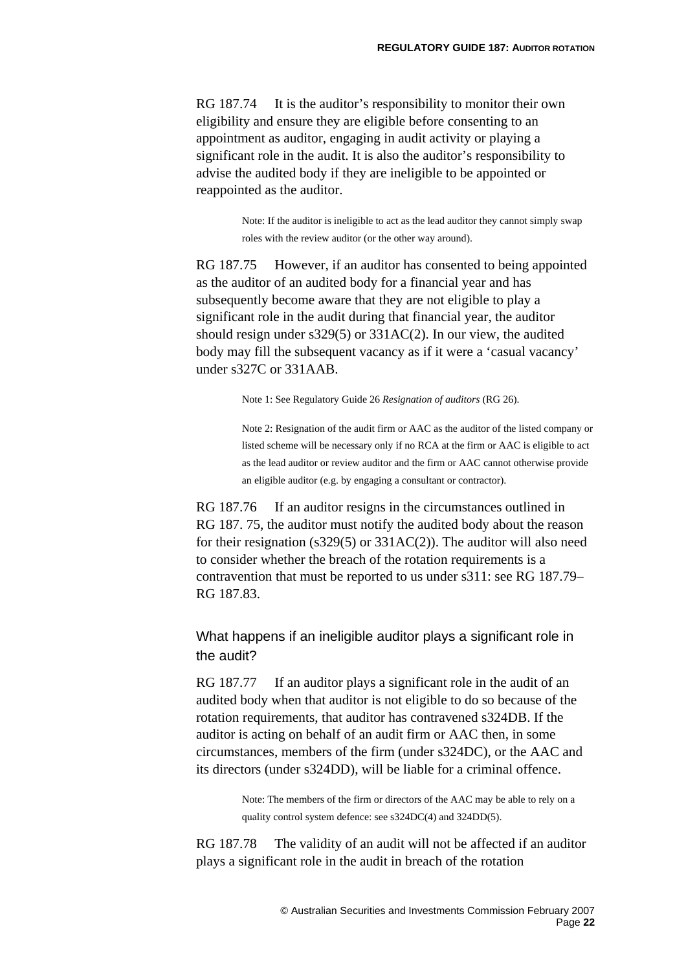RG 187.74 It is the auditor's responsibility to monitor their own eligibility and ensure they are eligible before consenting to an appointment as auditor, engaging in audit activity or playing a significant role in the audit. It is also the auditor's responsibility to advise the audited body if they are ineligible to be appointed or reappointed as the auditor.

> Note: If the auditor is ineligible to act as the lead auditor they cannot simply swap roles with the review auditor (or the other way around).

RG 187.75 However, if an auditor has consented to being appointed as the auditor of an audited body for a financial year and has subsequently become aware that they are not eligible to play a significant role in the audit during that financial year, the auditor should resign under s329(5) or 331AC(2). In our view, the audited body may fill the subsequent vacancy as if it were a 'casual vacancy' under s327C or 331AAB.

Note 1: See Regulatory Guide 26 *Resignation of auditors* (RG 26).

Note 2: Resignation of the audit firm or AAC as the auditor of the listed company or listed scheme will be necessary only if no RCA at the firm or AAC is eligible to act as the lead auditor or review auditor and the firm or AAC cannot otherwise provide an eligible auditor (e.g. by engaging a consultant or contractor).

RG 187.76 If an auditor resigns in the circumstances outlined in RG 187. 75, the auditor must notify the audited body about the reason for their resignation (s329(5) or 331AC(2)). The auditor will also need to consider whether the breach of the rotation requirements is a contravention that must be reported to us under s311: see RG 187.79– RG 187.83.

What happens if an ineligible auditor plays a significant role in the audit?

RG 187.77 If an auditor plays a significant role in the audit of an audited body when that auditor is not eligible to do so because of the rotation requirements, that auditor has contravened s324DB. If the auditor is acting on behalf of an audit firm or AAC then, in some circumstances, members of the firm (under s324DC), or the AAC and its directors (under s324DD), will be liable for a criminal offence.

> Note: The members of the firm or directors of the AAC may be able to rely on a quality control system defence: see s324DC(4) and 324DD(5).

RG 187.78 The validity of an audit will not be affected if an auditor plays a significant role in the audit in breach of the rotation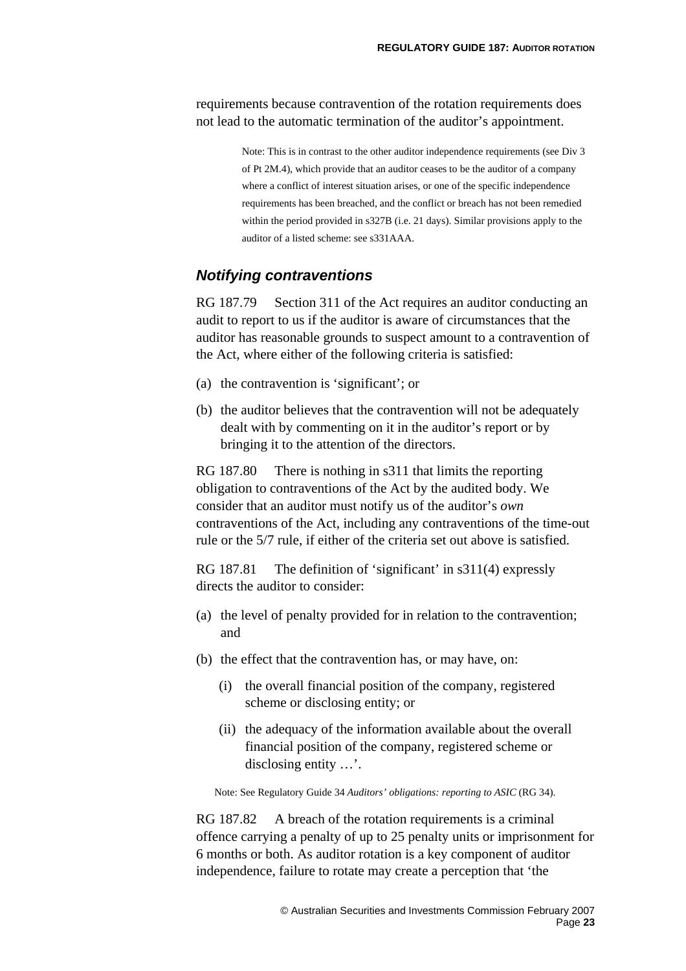requirements because contravention of the rotation requirements does not lead to the automatic termination of the auditor's appointment.

> Note: This is in contrast to the other auditor independence requirements (see Div 3 of Pt 2M.4), which provide that an auditor ceases to be the auditor of a company where a conflict of interest situation arises, or one of the specific independence requirements has been breached, and the conflict or breach has not been remedied within the period provided in s327B (i.e. 21 days). Similar provisions apply to the auditor of a listed scheme: see s331AAA.

## *Notifying contraventions*

RG 187.79 Section 311 of the Act requires an auditor conducting an audit to report to us if the auditor is aware of circumstances that the auditor has reasonable grounds to suspect amount to a contravention of the Act, where either of the following criteria is satisfied:

- (a) the contravention is 'significant'; or
- (b) the auditor believes that the contravention will not be adequately dealt with by commenting on it in the auditor's report or by bringing it to the attention of the directors.

RG 187.80 There is nothing in s311 that limits the reporting obligation to contraventions of the Act by the audited body. We consider that an auditor must notify us of the auditor's *own* contraventions of the Act, including any contraventions of the time-out rule or the 5/7 rule, if either of the criteria set out above is satisfied.

RG 187.81 The definition of 'significant' in s311(4) expressly directs the auditor to consider:

- (a) the level of penalty provided for in relation to the contravention; and
- (b) the effect that the contravention has, or may have, on:
	- (i) the overall financial position of the company, registered scheme or disclosing entity; or
	- (ii) the adequacy of the information available about the overall financial position of the company, registered scheme or disclosing entity …'.

Note: See Regulatory Guide 34 *Auditors' obligations: reporting to ASIC* (RG 34).

RG 187.82 A breach of the rotation requirements is a criminal offence carrying a penalty of up to 25 penalty units or imprisonment for 6 months or both. As auditor rotation is a key component of auditor independence, failure to rotate may create a perception that 'the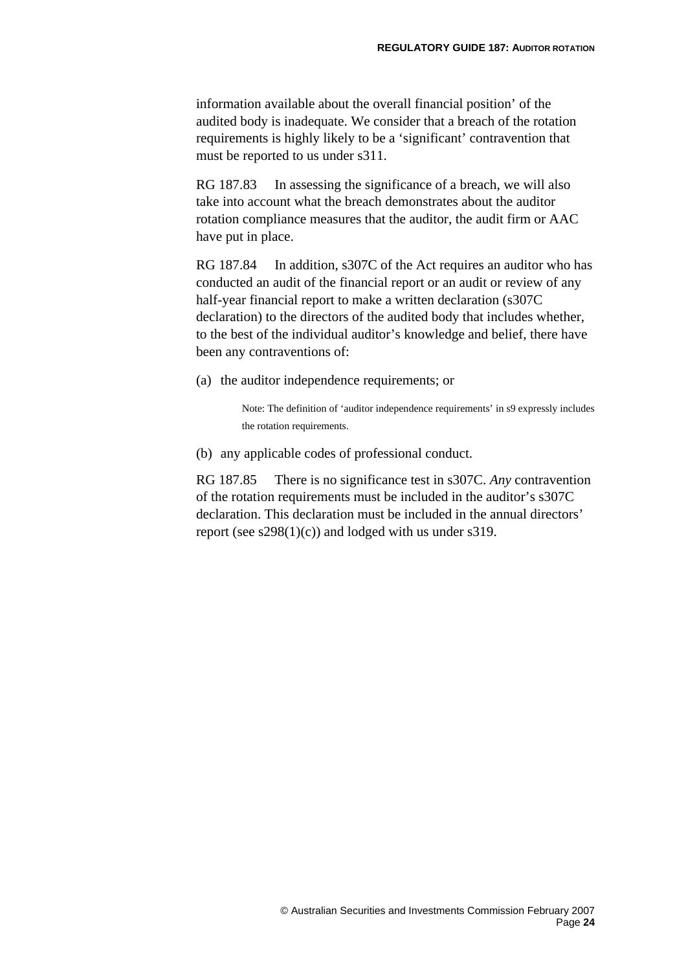information available about the overall financial position' of the audited body is inadequate. We consider that a breach of the rotation requirements is highly likely to be a 'significant' contravention that must be reported to us under s311.

RG 187.83 In assessing the significance of a breach, we will also take into account what the breach demonstrates about the auditor rotation compliance measures that the auditor, the audit firm or AAC have put in place.

RG 187.84 In addition, s307C of the Act requires an auditor who has conducted an audit of the financial report or an audit or review of any half-year financial report to make a written declaration (s307C declaration) to the directors of the audited body that includes whether, to the best of the individual auditor's knowledge and belief, there have been any contraventions of:

(a) the auditor independence requirements; or

Note: The definition of 'auditor independence requirements' in s9 expressly includes the rotation requirements.

(b) any applicable codes of professional conduct.

RG 187.85 There is no significance test in s307C. *Any* contravention of the rotation requirements must be included in the auditor's s307C declaration. This declaration must be included in the annual directors' report (see  $s298(1)(c)$ ) and lodged with us under  $s319$ .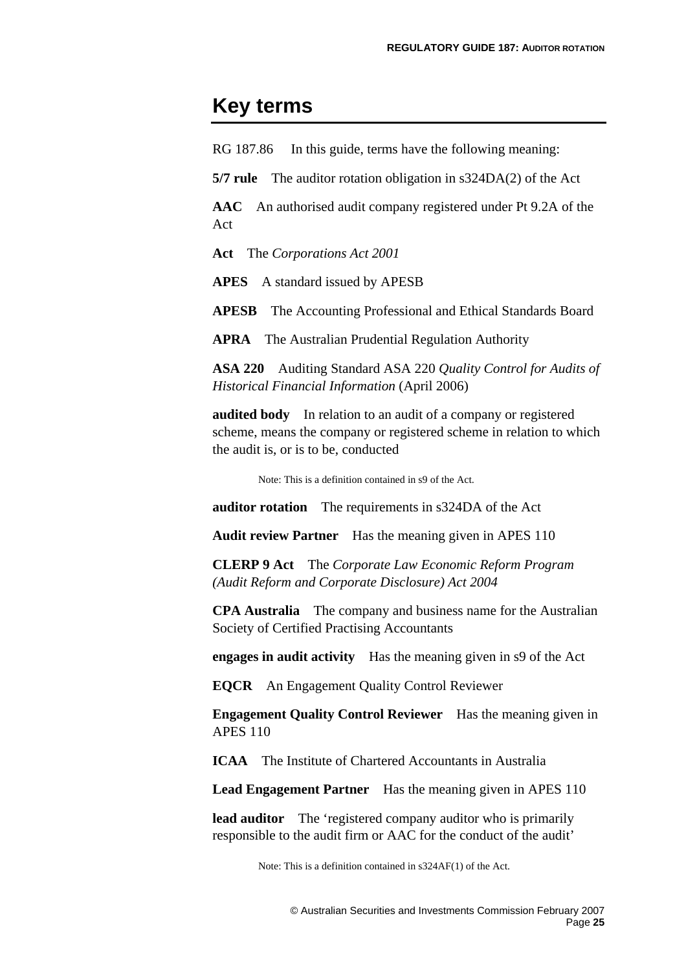# <span id="page-24-0"></span>**Key terms**

RG 187.86 In this guide, terms have the following meaning:

**5/7 rule** The auditor rotation obligation in s324DA(2) of the Act

**AAC** An authorised audit company registered under Pt 9.2A of the Act

**Act** The *Corporations Act 2001*

**APES** A standard issued by APESB

**APESB** The Accounting Professional and Ethical Standards Board

**APRA** The Australian Prudential Regulation Authority

**ASA 220** Auditing Standard ASA 220 *Quality Control for Audits of Historical Financial Information* (April 2006)

**audited body** In relation to an audit of a company or registered scheme, means the company or registered scheme in relation to which the audit is, or is to be, conducted

Note: This is a definition contained in s9 of the Act.

**auditor rotation** The requirements in s324DA of the Act

**Audit review Partner** Has the meaning given in APES 110

**CLERP 9 Act** The *Corporate Law Economic Reform Program (Audit Reform and Corporate Disclosure) Act 2004* 

**CPA Australia** The company and business name for the Australian Society of Certified Practising Accountants

**engages in audit activity** Has the meaning given in s9 of the Act

**EQCR** An Engagement Quality Control Reviewer

**Engagement Quality Control Reviewer** Has the meaning given in APES 110

**ICAA** The Institute of Chartered Accountants in Australia

Lead Engagement Partner Has the meaning given in APES 110

**lead auditor** The 'registered company auditor who is primarily responsible to the audit firm or AAC for the conduct of the audit'

Note: This is a definition contained in s324AF(1) of the Act.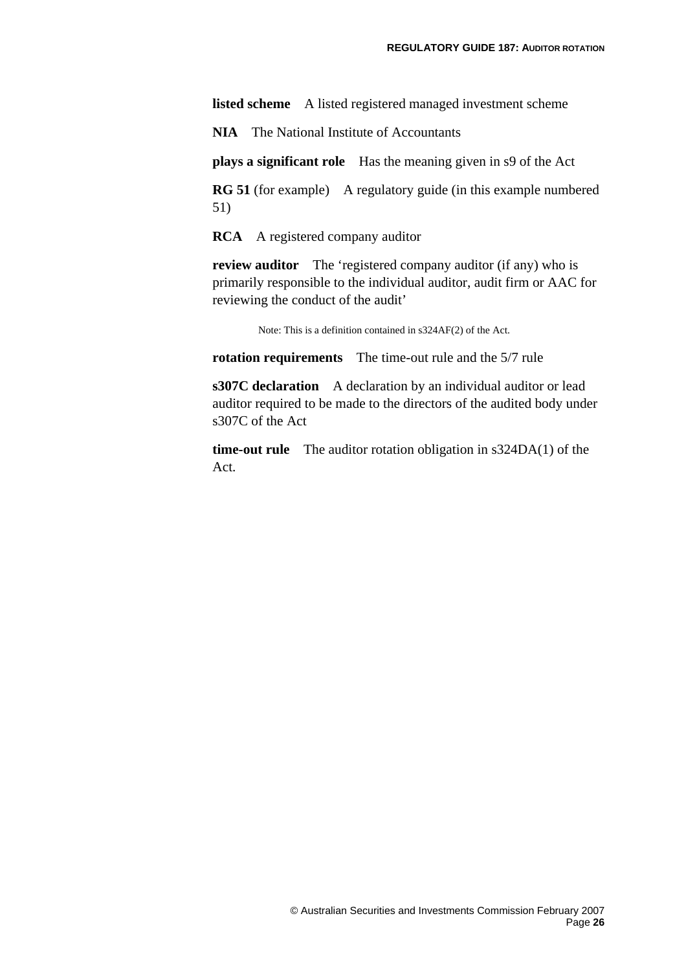**listed scheme** A listed registered managed investment scheme

**NIA** The National Institute of Accountants

**plays a significant role** Has the meaning given in s9 of the Act

**RG 51** (for example) A regulatory guide (in this example numbered 51)

**RCA** A registered company auditor

**review auditor** The 'registered company auditor (if any) who is primarily responsible to the individual auditor, audit firm or AAC for reviewing the conduct of the audit'

Note: This is a definition contained in s324AF(2) of the Act.

**rotation requirements** The time-out rule and the 5/7 rule

**s307C declaration** A declaration by an individual auditor or lead auditor required to be made to the directors of the audited body under s307C of the Act

**time-out rule** The auditor rotation obligation in s324DA(1) of the Act.